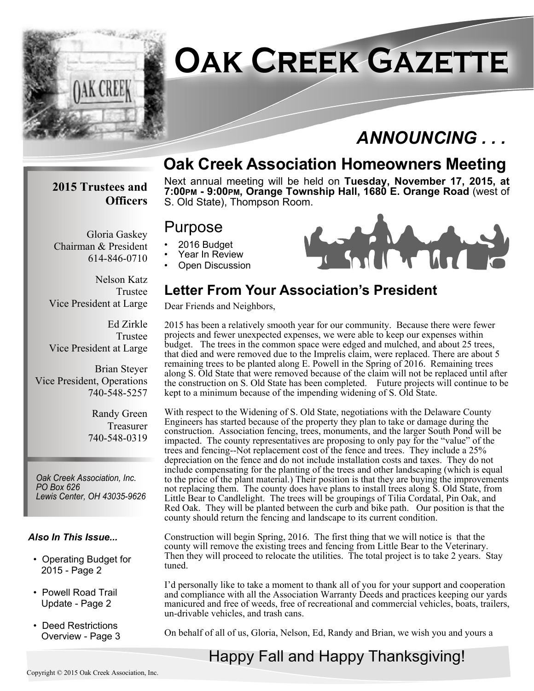

# **Oak Creek Gazette**

# *ANNOUNCING . . .*

## **Oak Creek Association Homeowners Meeting**

#### **2015 Trustees and Officers**

Chairman & President

Gloria Gaskey

614-846-0710

Next annual meeting will be held on **Tuesday, November 17, 2015, at 7:00PM - 9:00PM, Orange Township Hall, 1680 E. Orange Road** (west of S. Old State), Thompson Room.

### Purpose

- 2016 Budget
- Year In Review
- Open Discussion

Dear Friends and Neighbors,

ÎA .

Nelson Katz Trustee Vice President at Large

Ed Zirkle Trustee Vice President at Large

Brian Steyer Vice President, Operations 740-548-5257

> Randy Green Treasurer 740-548-0319

*Oak Creek Association, Inc. PO Box 626 Lewis Center, OH 43035-9626*

#### *Also In This Issue...*

- Operating Budget for 2015 - Page 2
- Powell Road Trail Update - Page 2
- Deed Restrictions Overview - Page 3

2015 has been a relatively smooth year for our community. Because there were fewer projects and fewer unexpected expenses, we were able to keep our expenses within budget. The trees in the common space were edged and mulched, and about 25 trees, that died and were removed due to the Imprelis claim, were replaced. There are about 5 remaining trees to be planted along E. Powell in the Spring of 2016. Remaining trees along S. Old State that were removed because of the claim will not be replaced until after the construction on S. Old State has been completed. Future projects will continue to be kept to a minimum because of the impending widening of S. Old State.

**Letter From Your Association's President**

With respect to the Widening of S. Old State, negotiations with the Delaware County Engineers has started because of the property they plan to take or damage during the construction. Association fencing, trees, monuments, and the larger South Pond will be impacted. The county representatives are proposing to only pay for the "value" of the trees and fencing--Not replacement cost of the fence and trees. They include a 25% depreciation on the fence and do not include installation costs and taxes. They do not include compensating for the planting of the trees and other landscaping (which is equal to the price of the plant material.) Their position is that they are buying the improvements not replacing them. The county does have plans to install trees along S. Old State, from Little Bear to Candlelight. The trees will be groupings of Tilia Cordatal, Pin Oak, and Red Oak. They will be planted between the curb and bike path. Our position is that the county should return the fencing and landscape to its current condition.

Construction will begin Spring, 2016. The first thing that we will notice is that the county will remove the existing trees and fencing from Little Bear to the Veterinary. Then they will proceed to relocate the utilities. The total project is to take 2 years. Stay tuned.

I'd personally like to take a moment to thank all of you for your support and cooperation and compliance with all the Association Warranty Deeds and practices keeping our yards manicured and free of weeds, free of recreational and commercial vehicles, boats, trailers, un-drivable vehicles, and trash cans.

On behalf of all of us, Gloria, Nelson, Ed, Randy and Brian, we wish you and yours a

# Happy Fall and Happy Thanksgiving!



#### Copyright © 2015 Oak Creek Association, Inc.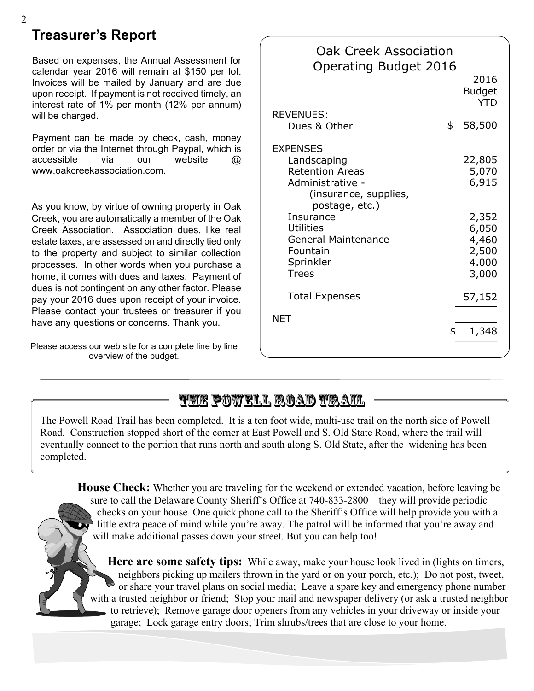### **Treasurer's Report**

Based on expenses, the Annual Assessment for calendar year 2016 will remain at \$150 per lot. Invoices will be mailed by January and are due upon receipt. If payment is not received timely, an interest rate of 1% per month (12% per annum) will be charged.

Payment can be made by check, cash, money order or via the Internet through Paypal, which is accessible via our website @ www.oakcreekassociation.com.

As you know, by virtue of owning property in Oak Creek, you are automatically a member of the Oak Creek Association. Association dues, like real estate taxes, are assessed on and directly tied only to the property and subject to similar collection processes. In other words when you purchase a home, it comes with dues and taxes. Payment of dues is not contingent on any other factor. Please pay your 2016 dues upon receipt of your invoice. Please contact your trustees or treasurer if you have any questions or concerns. Thank you.

Please access our web site for a complete line by line overview of the budget.

| <b>Oak Creek Association</b><br><b>Operating Budget 2016</b> |                                     |
|--------------------------------------------------------------|-------------------------------------|
|                                                              | 2016<br><b>Budget</b><br><b>YTD</b> |
| <b>REVENUES:</b>                                             |                                     |
| Dues & Other                                                 | \$<br>58,500                        |
| <b>EXPENSES</b>                                              |                                     |
| Landscaping                                                  | 22,805                              |
| <b>Retention Areas</b>                                       | 5,070                               |
| Administrative -<br>(insurance, supplies,<br>postage, etc.)  | 6,915                               |
| Insurance                                                    | 2,352                               |
| <b>Utilities</b>                                             | 6,050                               |
| <b>General Maintenance</b>                                   | 4,460                               |
| Fountain                                                     | 2,500                               |
| Sprinkler                                                    | 4.000                               |
| <b>Trees</b>                                                 | 3,000                               |
| <b>Total Expenses</b>                                        | 57,152                              |
| NFT                                                          |                                     |
|                                                              | \$<br>1,348                         |
|                                                              |                                     |

## **The Powell Road Trail**

The Powell Road Trail has been completed. It is a ten foot wide, multi-use trail on the north side of Powell Road. Construction stopped short of the corner at East Powell and S. Old State Road, where the trail will eventually connect to the portion that runs north and south along S. Old State, after the widening has been completed.

**House Check:** Whether you are traveling for the weekend or extended vacation, before leaving be sure to call the Delaware County Sheriff's Office at 740-833-2800 – they will provide periodic checks on your house. One quick phone call to the Sheriff's Office will help provide you with a little extra peace of mind while you're away. The patrol will be informed that you're away and will make additional passes down your street. But you can help too!

**Here are some safety tips:** While away, make your house look lived in (lights on timers, neighbors picking up mailers thrown in the yard or on your porch, etc.); Do not post, tweet, or share your travel plans on social media; Leave a spare key and emergency phone number with a trusted neighbor or friend; Stop your mail and newspaper delivery (or ask a trusted neighbor to retrieve); Remove garage door openers from any vehicles in your driveway or inside your garage; Lock garage entry doors; Trim shrubs/trees that are close to your home.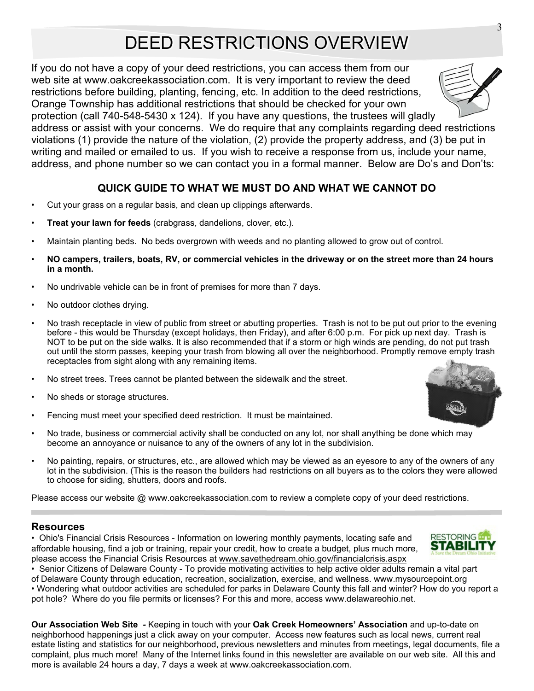# DEED RESTRICTIONS OVERVIEW

If you do not have a copy of your deed restrictions, you can access them from our web site at www.oakcreekassociation.com. It is very important to review the deed restrictions before building, planting, fencing, etc. In addition to the deed restrictions, Orange Township has additional restrictions that should be checked for your own

protection (call 740-548-5430 x 124). If you have any questions, the trustees will gladly address or assist with your concerns. We do require that any complaints regarding deed restrictions violations (1) provide the nature of the violation, (2) provide the property address, and (3) be put in writing and mailed or emailed to us. If you wish to receive a response from us, include your name, address, and phone number so we can contact you in a formal manner. Below are Do's and Don'ts:

#### **QUICK GUIDE TO WHAT WE MUST DO AND WHAT WE CANNOT DO**

- Cut your grass on a regular basis, and clean up clippings afterwards.
- **Treat your lawn for feeds** (crabgrass, dandelions, clover, etc.).
- Maintain planting beds. No beds overgrown with weeds and no planting allowed to grow out of control.
- **NO campers, trailers, boats, RV, or commercial vehicles in the driveway or on the street more than 24 hours in a month.**
- No undrivable vehicle can be in front of premises for more than 7 days.
- No outdoor clothes drying.
- No trash receptacle in view of public from street or abutting properties. Trash is not to be put out prior to the evening before - this would be Thursday (except holidays, then Friday), and after 6:00 p.m. For pick up next day. Trash is NOT to be put on the side walks. It is also recommended that if a storm or high winds are pending, do not put trash out until the storm passes, keeping your trash from blowing all over the neighborhood. Promptly remove empty trash receptacles from sight along with any remaining items.
- No street trees. Trees cannot be planted between the sidewalk and the street.
- No sheds or storage structures.
- Fencing must meet your specified deed restriction. It must be maintained.
- No trade, business or commercial activity shall be conducted on any lot, nor shall anything be done which may become an annoyance or nuisance to any of the owners of any lot in the subdivision.
- No painting, repairs, or structures, etc., are allowed which may be viewed as an eyesore to any of the owners of any lot in the subdivision. (This is the reason the builders had restrictions on all buyers as to the colors they were allowed to choose for siding, shutters, doors and roofs.

Please access our website @ www.oakcreekassociation.com to review a complete copy of your deed restrictions.

#### **Resources**

• Ohio's Financial Crisis Resources - Information on lowering monthly payments, locating safe and affordable housing, find a job or training, repair your credit, how to create a budget, plus much more, please access the Financial Crisis Resources at www.savethedream.ohio.gov/financialcrisis.aspx

• Senior Citizens of Delaware County - To provide motivating activities to help active older adults remain a vital part of Delaware County through education, recreation, socialization, exercise, and wellness. www.mysourcepoint.org • Wondering what outdoor activities are scheduled for parks in Delaware County this fall and winter? How do you report a pot hole? Where do you file permits or licenses? For this and more, access www.delawareohio.net.

**Our Association Web Site** *-* Keeping in touch with your **Oak Creek Homeowners' Association** and up-to-date on neighborhood happenings just a click away on your computer. Access new features such as local news, current real estate listing and statistics for our neighborhood, previous newsletters and minutes from meetings, legal documents, file a complaint, plus much more! Many of the Internet links found in this newsletter are available on our web site. All this and more is available 24 hours a day, 7 days a week at www.oakcreekassociation.com.